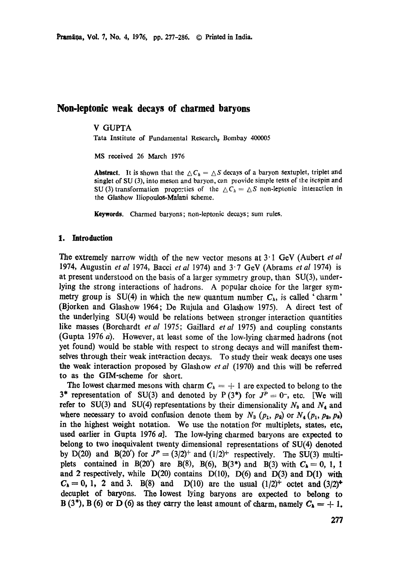# **Non-leptonic weak decays of charmed baryons**

## V GUPTA

Tata Institute of Fundamental Research, Bombay 400005

MS received 26 March 1976

**Abstract.** It is shown that the  $\Delta C_h = \Delta S$  decays of a baryon sextuplet, triplet and singlet of SU (3), into meson and baryon, can provide simple tests of lhe iscspin and SU (3) transformation proporties of the  $\Delta C_h = \Delta S$  non-leptonic interaction in **the** Glashow Iliopoulos-Maiani scheme.

**Keywords.** Charmed baryons; non-leptonic decays; sum rules.

#### **1. Introduction**

The extremely narrow width of the new vector mesons at 3<sup>-</sup>1 GeV (Aubert *et al*) 1974, Augustin *et al* 1974, Bacci *et al* 1974) and 3"7 GeV (Abrams *et al* 1974) is at present understood on the basis of a larger symmetry group, than SU(3), underlying the strong interactions of hadrons. A popular choice for the larger symmetry group is SU(4) in which the new quantum number  $C_h$ , is called 'charm' (Bjorken and Glashow 1964; De Rujula and Glashow 1975). A direct test of the underlying SU(4)would be relations between stronger interaction quantities like masses (Borehardt *et al* 1975; Gaillard *etal* 1975) and coupling constants (Gupta 1976 a). However, at least some of the low-lying charmed hadrons (not yet found) would be stable with respect to strong decays and will manifest themselves through their weak interaction decays. To study their weak decays one uses the weak interaction proposed by Glashow *et al* (1970) and this will be referred to as the GIM-scheme for short.

The lowest charmed mesons with charm  $C_h = +1$  are expected to belong to the 3\* representation of SU(3) and denoted by P (3\*) for  $J^P=0^-$ , etc. [We will refer to SU(3) and SU(4) representations by their dimensionality  $N_3$  and  $N_4$  and where necessary to avoid confusion denote them by  $N_3$  ( $p_1$ ,  $p_2$ ) or  $N_4$  ( $p_1$ ,  $p_3$ ,  $p_3$ ) in the highest weight notation. We use the notation for multiplets, states, etc, used earlier in Gupta 1976 a]. The low-lying charmed baryons are expected to belong to two inequivalent twenty dimensional representations of SU(4) denoted by D(20) and B(20') for  $J^P = (3/2)^+$  and  $(1/2)^+$  respectively. The SU(3) multiplets contained in B(20') are B(8), B(6), B(3\*) and B(3) with  $C_b = 0, 1, 1$ and 2 respectively, while  $D(20)$  contains  $D(10)$ ,  $D(6)$  and  $D(3)$  and  $D(1)$  with  $C_{h} = 0, 1, 2$  and 3. B(8) and D(10) are the usual  $(1/2)^{+}$  octet and  $(3/2)^{+}$ decuplet of baryons. The lowest lying baryons are expected to belong to B (3\*), B (6) or D (6) as they carry the least amount of charm, namely  $C_h = +1$ .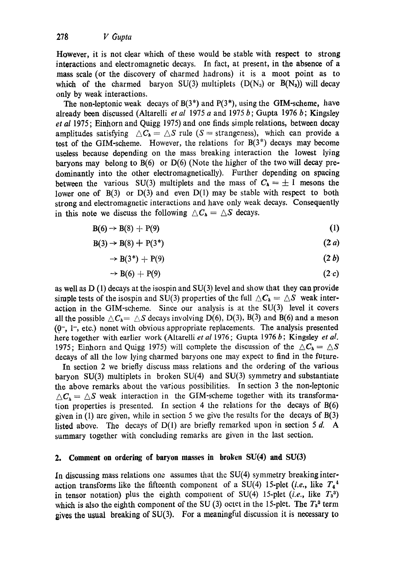However, it is not clear which of these would be stable with respect to strong interactions and electromagnetic decays. In fact, at present, in the absence of a mass scale (or the discovery of charmed hadrons) it is a moot point as to which of the charmed baryon SU(3) multiplets  $(D(N_3)$  or  $B(N_3)$ ) will decay only by weak interactions.

The non-leptonic weak decays of  $B(3^*)$  and  $P(3^*)$ , using the GIM-scheme, have already been discussed (Altarelli *et al* 1975 a and 1975 b; Gupta 1976 b; Kingsley *et al* 1975; Einhorn and Quigg 1975) and one finds simple relations, between decay amplitudes satisfying  $\Delta C_{h} = \Delta S$  rule (S = strangeness), which can provide a test of the GIM-scheme. However, the relations for  $B(3^*)$  decays may become useless because depending on the mass breaking interaction the lowest lying baryons may belong to  $B(6)$  or  $D(6)$  (Note the higher of the two will decay predominantly into the other electromagnetically). Further depending on spacing between the various SU(3) multiplets and the mass of  $C_h = \pm 1$  mesons the lower one of  $B(3)$  or  $D(3)$  and even  $D(1)$  may be stable with respect to both strong and electromagnetic interactions and have only weak decays. Consequently in this note we discuss the following  $\triangle C_{h} = \triangle S$  decays.

$$
B(6) \rightarrow B(8) + P(9) \tag{1}
$$

$$
B(3) \rightarrow B(8) + P(3^*)
$$
\n
$$
(2 a)
$$

$$
\rightarrow B(3^*) + P(9) \tag{2 b}
$$

$$
\rightarrow B(6) + P(9) \tag{2 c}
$$

as well as D (1) decays at the isospin and SU(3) level and show that they can provide simple tests of the isospin and SU(3) properties of the full  $\Delta C_{h} = \Delta S$  weak interaction in the GIM-scheme. Since our analysis is at the  $SU(3)$  level it covers all the possible  $\triangle C_h = \triangle S$  decays involving D(6), D(3), B(3) and B(6) and a meson  $(0, 1, 1)$ , etc.) nonet with obvious appropriate replacements. The analysis presented here together with earlier work (Altarelli *et al* 1976 ; Gupta 1976 b ; Kingsley *et al.*  1975; Einhorn and Quigg 1975) will complete the discussion of the  $\Delta C_{h} = \Delta S$ decays of all the low lying charmed baryons one may expect to find in the future.

In section 2 we briefly discuss mass relations and the ordering of the various baryon  $SU(3)$  multiplets in broken  $SU(4)$  and  $SU(3)$  symmetry and substantiate the above remarks about the various possibilities. In section 3 the non-leptonic  $\wedge C_{\alpha} = \wedge S$  weak interaction in the GIM-scheme together with its transformation properties is presented. In section 4 the relations for the decays of B(6) given in (1) are given, while in section 5 we give the results for the decays of B(3) listed above. The decays of  $D(1)$  are briefly remarked upon in section 5 d. A summary together with concluding remarks are given in the last section.

### **2. Comment on ordering of baryon masses in broken SU(4) and SU(3)**

In discussing mass relations one assumes that the SU(4) symmetry breaking interaction transforms like the fifteenth component of a SU(4) 15-plet *(i.e., like*  $T_4^4$ in tensor notation) plus the eighth compouent of  $SU(4)$  15-plet *(i.e., like T<sub>3</sub><sup>3</sup>)* which is also the eighth component of the SU (3) octet in the 15-plet. The  $T_3^3$  term gives the usual breaking of SU(3). For a meaningful discussion it is necessary to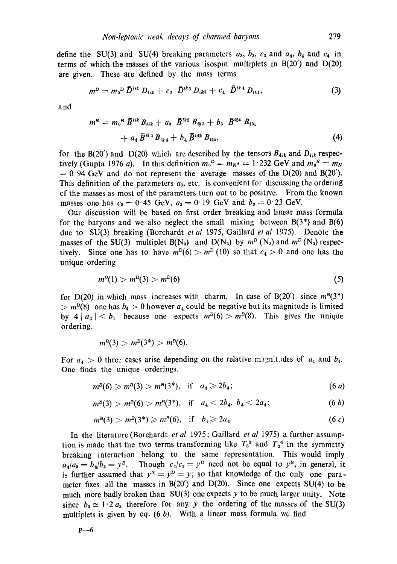define the SU(3) and SU(4) breaking parameters  $a_3$ ,  $b_3$ ,  $c_3$  and  $a_4$ ,  $b_4$  and  $c_4$  in terms of which the masses of the various isospin multiplets in B(20') and D(20) are given. These are defined by the mass terms

$$
m^{D} = m_{0}{}^{D} \bar{D}^{ijk} D_{ijk} + c_{3} \bar{D}^{ik3} D_{ik3} + c_{4} \bar{D}^{ik4} D_{ik4}, \qquad (3)
$$

and

$$
m^{B} = m_{0}{}^{B} \, \bar{B}^{ijk} B_{ijk} + a_{3} \, \bar{B}^{ik3} B_{ik3} + b_{3} \, \bar{B}^{ijk} B_{i3k} + a_{4} \, \bar{B}^{ik4} B_{ik4} + b_{4} \, \bar{B}^{ikk} B_{i4k}, \tag{4}
$$

for the B(20') and D(20) which are described by the tensors  $B_{\bullet ik}$  and  $D_{ijk}$  respectively (Gupta 1976 a). In this definition  $m_0^D = m_N^* = 1.232$  GeV and  $m_0^D = m_N$  $= 0.94$  GeV and do not represent the average masses of the D(20) and B(20'). This definition of the parameters  $a_{3}$ , etc. is convenient for discussing the ordering cf the masses as most of the parameters turn out to be positive. From the known masses one has  $c_3 = 0.45$  GeV,  $a_3 = 0.19$  GeV and  $b_3 = 0.23$  GeV.

Our discussion will be based on first order breaking and linear mass formula for the baryons and we also neglect the small mixing between  $B(3^*)$  and  $B(6)$ due to SU(3) breaking (Borchardt *et al* 1975, Gaillard *et al* 1975). Denote the masses of the SU(3) multiplet  $B(N_3)$  and  $D(N_3)$  by  $m^2(N_3)$  and  $m^2(N_3)$  respectively. Since one has to have  $m^D(6) > m^D(10)$  so that  $c_4 > 0$  and one has the unique ordering

$$
m^D(1) > m^D(3) > m^D(6) \tag{5}
$$

for D(20) in which mass increases with charm. In case of B(20') since  $m^B(3^*)$  $> m<sup>B</sup>(8)$  one has  $b<sub>4</sub> > 0$  however  $a<sub>4</sub>$  could be negative but its magnitude is limited by 4  $|a_4| < b_4$  because one expects  $m^B(6) > m^B(8)$ . This gives the unique ordering.

$$
m^{B}(3) > m^{B}(3^{*}) > m^{B}(6).
$$

For  $a_4 > 0$  three cases arise depending on the relative magnitudes of  $a_4$  and  $b_4$ . One finds the unique orderings.

$$
m^{B}(6) \geq m^{B}(3) > m^{B}(3^{*}), \quad \text{if} \quad a_{4} \geq 2b_{4}; \tag{6 a}
$$

$$
m^{\mathcal{B}}(3) > m^{\mathcal{B}}(6) > m^{\mathcal{B}}(3^*), \quad \text{if} \quad a_4 < 2b_4, \ b_4 < 2a_4; \tag{6 b}
$$

$$
m^{B}(3) > m^{B}(3^{*}) \geq m^{B}(6), \quad \text{if} \quad b_{4} \geq 2a_{4}.
$$
 (6 c)

In the literature (Borchardt *et al* 1975 ; Gaillard *et al* 1975) a further assumption is made that the two terms transforming like  $T_3^3$  and  $T_4^4$  in the symmetry breaking interaction belong to the same representation. This would imply  $a_4/a_3 = b_4/b_3 = y^B$ . Though  $c_4/c_3 = y^D$  need not be equal to  $y^B$ , in general, it is further assumed that  $y^B = y^D = y$ ; so that knowledge of the only one parameter fixes all the masses in  $B(20')$  and  $D(20)$ . Since one expects SU(4) to be much more badly broken than  $SU(3)$  one expects y to be much larger unity. Note since  $b_3 \simeq 1 \cdot 2 a_3$  therefore for any y the ordering of the masses of the SU(3) multiplets is given by eq.  $(6 b)$ . With a linear mass formula we find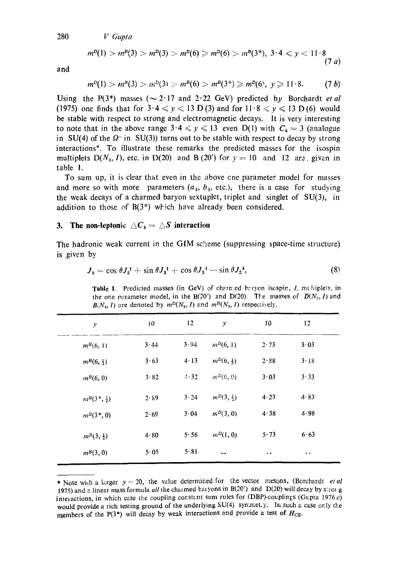280 *V Gupta* 

$$
m^{p}(1) > m^{p}(3) > m^{p}(3) > m^{p}(6) \geq m^{p}(6) > m^{p}(3^{*}), \ 3 \cdot 4 \leq y < 11 \cdot 8
$$
\n(7 a)

and

$$
m^{D}(1) > m^{B}(3) > m^{D}(3) > m^{B}(6) > m^{B}(3^{*}) \geq m^{D}(6), y \geq 11 \cdot 8. \qquad (7 \; b)
$$

Using the P(3<sup>\*</sup>) masses ( $\sim$  2.17 and 2.22 GeV) predicted by Borchardt *et al* (1975) one finds that for  $3.4 \le y \le 13$  D(3) and for  $11.8 \le y \le 13$  D(6) would be stable with respect to strong and electromagnetic decays. It is very interesting to note that in the above range  $3.4 \le y \le 13$  even D(1) with  $C_h = 3$  (analogue in SU(4) of the  $\Omega$ - in SU(3)) turns out to be stable with respect to decay by strong interactions\*. To illustrate these remarks the predicted masses for the isospin multiplets  $D(N_3, I)$ , etc. in  $D(20)$  and B (20') for  $y = 10$  and 12 are. given in table 1.

To sum up, it is clear that even in the above cne parameter model for masses and more so with more parameters  $(a_4, b_4, \text{ etc.})$ , there is a case for studying the weak decays of a charmed baryon sextuplet, triplet and singlet of SU(3), in addition to those of  $B(3^*)$  which have already been considered.

#### 3. The non-leptonic  $\Delta C_h = \Delta S$  interaction

The hadronic weak current in the  $\text{GIM-sc'}$  is the sum of the function  $\text{GIM}(\text{suppressing})$ is given by

$$
J_{h} = \cos \theta J_{2}^{1} + \sin \theta J_{3}^{1} + \cos \theta J_{3}^{4} - \sin \theta J_{2}^{4}, \qquad (8)
$$

Table 1. Predicted masses (in GeV) of charmed brryen isospin, I, multiplets, in the one parameter model, in the B(20') and D(20). The masses of  $D(N_2, I)$  and  $B(N_3, I)$  are denoted by  $m^D(N_3, I)$  and  $m^B(N_3, I)$  respectively.

| $\mathcal{Y}$            | 10   | 12           | $\mathcal{Y}$ | 10                  | 12                   |  |
|--------------------------|------|--------------|---------------|---------------------|----------------------|--|
| $m^{B}(6, 1)$            | 3.44 | 3.94         | $m^{D}(6, 1)$ | 2.73                | 3.03                 |  |
| $m^{B}(6, \frac{1}{2})$  | 3.63 | $4 \cdot 13$ | $m^{D}(6, 4)$ | 2.88                | 3.18                 |  |
| $m^{B}(6, 0)$            | 3.82 | 4.32         | $m^{D}(6, 0)$ | 3.03                | 3.33                 |  |
| $m^{B}(3^*,\frac{1}{2})$ | 2.89 | 3.24         | $m^{D}(3, 3)$ | 4.23                | 4.83                 |  |
| $m^{B}(3^*, 0)$          | 2.69 | 3.04         | $m^{D}(3, 0)$ | 4.38                | 4.98                 |  |
| $m^{B}(3, \frac{1}{2})$  | 4.80 | 5.56         | $m^D(1, 0)$   | 5.73                | 6.63                 |  |
| $m^{B}(3, 0)$            | 5.05 | 5.81         |               | $\bullet$ $\bullet$ | $\ddot{\phantom{0}}$ |  |

<sup>\*</sup> Note with a larger  $y = 20$ , the value determined for the vector mesons, (Borchardt *et al* 1975) and a linear mass formula *all* the charmed baryons in B(20') and D(20) will decay by strolg interactions, in which case the coupling constant sum rules for (DBP)-couplings (Gupta 1976 c) would provide a rich testing ground of the underlying SU(4) symmet, y. In such a case only the members of the P(3\*) will decay by weak interactions and provide a test of *Hcs.*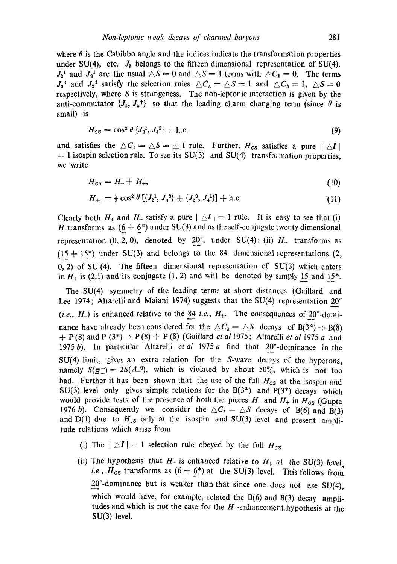where  $\theta$  is the Cabibbo angle and the indices indicate the transformation properties under SU(4), etc.  $J<sub>h</sub>$  belongs to the fifteen dimensional representation of SU(4).  $J_2^1$  and  $J_3^1$  are the usual  $\triangle S = 0$  and  $\triangle S = 1$  terms with  $\triangle C_h = 0$ . The terms  $J_3$ <sup>4</sup> and  $J_2$ <sup>4</sup> satisfy the selection rules  $\triangle C_h = \triangle S = 1$  and  $\triangle C_h = 1$ ,  $\triangle S = 0$ respectively, where  $S$  is strangeness. The non-leptonic interaction is given by the anti-commutator  $\{J_h, J_h^{\dagger}\}\$  so that the leading charm changing term (since  $\theta$  is small) is

$$
H_{\rm CS} = \cos^2 \theta \, \{J_2^1, J_4^3\} + \text{h.c.} \tag{9}
$$

and satisfies the  $\Delta C_h = \Delta S = \pm 1$  rule. Further,  $H_{cs}$  satisfies a pure  $|\Delta I|$  $= 1$  isospin selection rule. To see its SU(3) and SU(4) transformation properties, we write

$$
H_{\text{CS}} = H_- + H_+, \tag{10}
$$

$$
H_{\pm} = \frac{1}{2} \cos^2 \theta \left[ \{J_2^1, J_4^3\} \pm \{J_2^3, J_4^1\} \right] + \text{h.c.}
$$
 (11)

Clearly both  $H_+$  and  $H_-$  satisfy a pure  $|\Delta I| = 1$  rule. It is easy to see that (i) H\_transforms as  $(6 + 6^*)$  under SU(3) and as the self-conjugate twenty dimensional representation  $(0, 2, 0)$ , denoted by 20", under SU(4); (ii)  $H_+$  transforms as  $(15 + 15^*)$  under SU(3) and belongs to the 84 dimensional epresentations (2, 0, 2) of SU (4). The fifteen dimensional representation of SU(3) which enters in  $H_+$  is (2,1) and its conjugate (1, 2) and will be denoted by simply 15 and 15\*.

The SU(4) symmetry of the leading terms at short distances (Gaillard and Lee 1974; Altarelli and Maiani 1974) suggests that the SU(4) representation 20" (*i.e., H<sub>-</sub>*) is enhanced relative to the  $84$  *i.e., H<sub>+</sub>.* The consequences of 20"-dominance have already been considered for the  $\triangle C_h = \triangle S$  decays of B(3\*)  $\rightarrow$  B(8)  $+ P(8)$  and P (3<sup>\*</sup>)  $\rightarrow$  P(8) + P(8) (Gaillard *et al* 1975; Altarelli *et al* 1975 a and 1975b). In particular Altarelli *etal* 1975a find that 20"'-aommance' in the SU(4) limit, gives an extra relation for the S-wave decays of the hyperons, namely  $S(g^-) = 2S(\Lambda^0)$ , which is violated by about 50%, which is not too bad. Further it has been shown that the use of the full  $H_{cs}$  at the isospin and SU(3) level only gives simple relations for the  $B(3^*)$  and  $P(3^*)$  decays which would provide tests of the presence of both the pieces  $H_-$  and  $H_+$  in  $H_{cs}$  (Gupta 1976 b). Consequently we consider the  $\triangle C_h = \triangle S$  decays of B(6) and B(3) and D(1) due to  $H_{-s}$  only at the isospin and SU(3) level and present amplitude relations which arise from

- (i) The  $| \wedge I | = 1$  selection rule obeyed by the full  $H_{cor}$
- (ii) The hypothesis that  $H_-\$  is enhanced relative to  $H_+\$  at the SU(3) level *i.e.,*  $H_{cs}$  transforms as  $(6 + 6^*)$  at the SU(3) level. This follows from  $20^{\circ}$ -dominance but is weaker than that since one does not use SU(4), which would have, for example, related the  $B(6)$  and  $B(3)$  decay amplitudes and which is not the case for the  $H$ -enhancement hypothesis at the SU(3) level.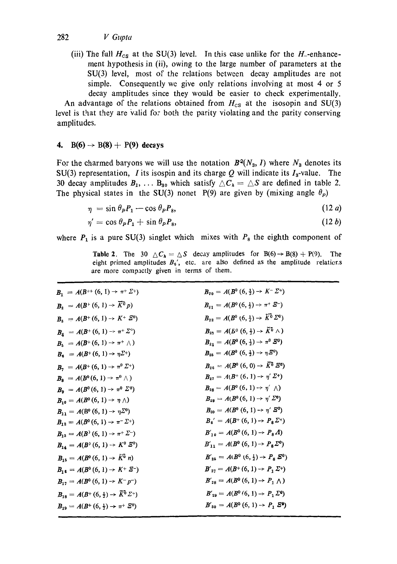(iii) The full  $H_{cs}$  at the SU(3) level. In this case unlike for the  $H_{-}$ -enhancement hypothesis in (ii), owing to the large number of parameters at the SU(3) level, most of the relations between decay amplitudes are not simple. Consequently we give only relations involving at most 4 or 5 decay amplitudes since they would be easier to check experimentally.

An advantage of the relations obtained from  $H_{\text{cs}}$  at the isosopin and SU(3) level is that they are valid for both the parity violating and the parity conserving amplitudes.

## **4.** B(6)  $\rightarrow$  B(8) + P(9) decays

For the charmed baryons we will use the notation  $B^2(N_3, I)$  where  $N_3$  denotes its SU(3) representation, *I* its isospin and its charge  $Q$  will indicate its  $I_3$ -value. The 30 decay amplitudes  $B_1, \ldots, B_{30}$  which satisfy  $\triangle C_h = \triangle S$  are defined in table 2. The physical states in the SU(3) nonet P(9) are given by (mixing angle  $\theta_P$ )

$$
\eta = \sin \theta_P P_1 - \cos \theta_P P_8, \tag{12 a}
$$

$$
\eta' = \cos \theta_P P_1 + \sin \theta_P P_8, \tag{12 b}
$$

where  $P_1$  is a pure SU(3) singlet which mixes with  $P_8$  the eighth component of

**Table 2.** The 30  $\Delta C_h = \Delta S$  decay amplitudes for B(6)  $\rightarrow$  B(8) + P(9). The eight primed amplitudes  $B_6$ , etc. are also defined as the amplitude relations are more compactly given in terms of them.

| $B_1 = A(B^{++} (6, 1) \rightarrow \pi^+ \Sigma^+)$                  | $B_{20} = A(B^0(6, \frac{1}{2}) \rightarrow K^- \Sigma^+)$             |
|----------------------------------------------------------------------|------------------------------------------------------------------------|
| $B_2 = A(B^+(6, 1) \rightarrow \overline{K}{}^{\overline{0}} p)$     | $B_{21} = A(B^0(6, \frac{1}{2}) \rightarrow \pi^+ \, \bar{S}^-)$       |
| $B_3 = A(B^+(6, 1) \rightarrow K^+ \, \mathcal{Z}^0)$                | $B_{22} = A(B^0(6, \frac{1}{2}) \rightarrow \widetilde{K}^0 \Sigma^0)$ |
| $B_4 = A(B^+(6, 1) \rightarrow \pi^+ \Sigma^{\circ})$                | $B_{23} = A(B^0(6, \frac{1}{2}) \rightarrow \tilde{K}^0 \wedge)$       |
| $B_5 = A(B^+(6, 1) \rightarrow \pi^+ \wedge)$                        | $B_{2,1} = A(B^0(6,\frac{1}{2}) \rightarrow \pi^0 B^0)$                |
| $B_6 = A(B^+(6, 1) \to \eta \Sigma^+)$                               | $B_{25} = A(B^0(6, \frac{1}{2}) \rightarrow \eta \bar{Z}^0)$           |
| $B_7 = A(B^+(6, 1) \rightarrow \pi^0 \Sigma^+)$                      | $B_{26} = A(B^0(6, 0) \rightarrow \overline{K^0} \overline{S^0})$      |
| $B_{\rm s} = A(B^0(6, 1) \to \pi^0 \wedge)$                          | $B_{27} = A(B^+(6, 1) \rightarrow \eta' \Sigma^+)$                     |
| $B_9 = A(B^0(6, 1) \rightarrow \pi^0 \Sigma^0)$                      | $B_{28} = A(B^{0}(6, 1) \rightarrow \eta^{'} \wedge)$                  |
| $B_{10} = A(B^0(6, 1) \rightarrow \eta \wedge)$                      | $B_{29} = A(B^0(6, 1) \rightarrow \eta' \Sigma^0)$                     |
| $B_{11} = A(B^0(6, 1) \rightarrow \eta \Sigma^0)$                    | $B_{30} = A(B^0(6, 1) \rightarrow \eta' \,\bar{E}^0)$                  |
| $B_{12} = A(B^0(6, 1) \rightarrow \pi^- \Sigma^+)$                   | $B_6' = A(B^+(6, 1) \rightarrow P_8 \Sigma^+)$                         |
| $B_{13} = A(B^{3}(6, 1) \rightarrow \pi^{+} \Sigma^{-})$             | $B'_{10} = A(B^0(6, 1) \rightarrow P_8A)$                              |
| $B_{14} = A(B^{3}(6, 1) \rightarrow K^{0} \Sigma^{0})$               | $B'_{11} = A(B^0(6, 1) \rightarrow P_8 \Sigma^0)$                      |
| $B_{15} = A(B^0(6, 1) \rightarrow \tilde{K}^0 n)$                    | $B'_{25} = A(B^0(6, \frac{1}{2}) \rightarrow P_{\kappa} S^0)$          |
| $B_{16} = A(B^3(6, 1) \rightarrow K^+ \Xi^-)$                        | $B'_{27} = A(B^+(6, 1) \rightarrow P_1 \Sigma^+)$                      |
| $B_{17} = A(B^0(6, 1) \rightarrow K^- p^-)$                          | $B'_{28} = A(B^0(6, 1) \rightarrow P_1 \land)$                         |
| $B_{18} = A(B^+(6,\frac{1}{2}) \rightarrow \overline{K}^0 \Sigma^+)$ | $B'_{29} = A(B^0(6, 1) \rightarrow P, \Sigma^0)$                       |
| $B_{19} = A(B^+(6,\frac{1}{2}) \rightarrow \pi^+ \ \mathcal{Z}^0)$   | $B'_{30} = A(B^0(6, 1) \rightarrow P_1 \, \mathcal{E}^0)$              |
|                                                                      |                                                                        |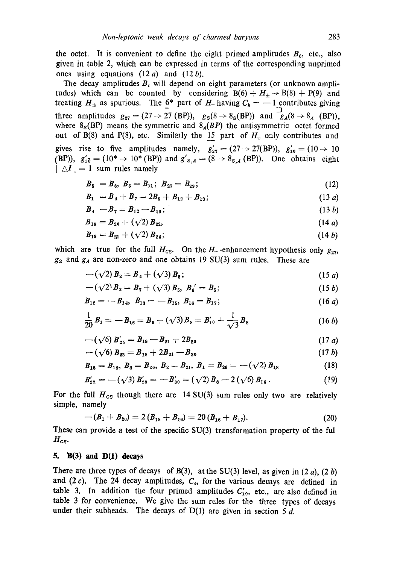the octet. It is convenient to define the eight primed amplitudes  $B_6$ , etc., also given in table 2, which can be expressed in terms of the corresponding unprimed ones using equations  $(12a)$  and  $(12b)$ .

The decay amplitudes  $B_i$  will depend on eight parameters (or unknown amplitudes) which can be counted by considering  $B(6) + H_{\pm} \rightarrow B(8) + P(9)$  and treating  $H_{\pm}$  as spurious. The  $6^*$  part of H<sub>-</sub> having  $C_h = -1$  contributes giving three amplitudes  $g_{27} = (27 \rightarrow 27 \text{ (BP)}), g_8(8 \rightarrow 8_S \text{(BP)})$  and  $\overline{g_A(8 \rightarrow 8_A \text{ (BP)})},$ where  $8_S(BP)$  means the symmetric and  $8_A(BP)$  the antisymmetric octet formed out of B(8) and P(8), etc. Similarly the 15 part of  $H_+$  only contributes and gives rise to five amplitudes namely,  $g'_{27} = (27 \rightarrow 27(BP))$ ,  $g'_{10} = (10 \rightarrow 10$ (BP)),  $g'_{10} = (10^* \rightarrow 10^* \text{ (BP)})$  and  $g'_{s,A} = (8 \rightarrow 8_{s,A} \text{ (BP)})$ . One obtains eight  $| \Delta I | = 1$  sum rules namely

$$
B_5 = B_8, B_6 = B_{11}; B_{27} = B_{29}; \t\t(12)
$$

$$
B_1 = B_4 + B_7 = 2B_9 + B_{12} + B_{13}; \qquad (13 a)
$$

$$
B_4 - B_7 = B_{12} - B_{13}; \t\t(13 b)
$$

$$
B_{18} = B_{20} + (\sqrt{2}) B_{22}, \tag{14a}
$$

$$
B_{19} = B_{21} + (\sqrt{2}) B_{24}; \tag{14 b}
$$

which are true for the full  $H_{\text{cs}}$ . On the  $H_{\text{-}}$ -enhancement hypothesis only  $g_{27}$ , *gs* and ga are non-zero and one obtains 19 SU(3) sum rules. These are

$$
-(\sqrt{2})B_2 = B_4 + (\sqrt{3})B_5; \tag{15 a}
$$

$$
-(\sqrt{2})B_3 = B_7 + (\sqrt{3})B_5, B_6' = B_5;
$$
 (15 b)

$$
B_{12} = -B_{14}, \ B_{13} = -B_{15}, \ B_{16} = B_{17}; \ \ (16 \ a)
$$

$$
\frac{1}{20}B_1 = -B_{16} = B_9 + (\sqrt{3})B_8 = B'_{10} + \frac{1}{\sqrt{3}}B_8 \qquad (16 b)
$$

$$
-(\sqrt{6}) B'_{25} = B_{19} - B_{21} + 2B_{20} \tag{17 a}
$$

$$
-(\sqrt{6}) B_{23} = B_{18} + 2B_{21} - B_{20} \tag{17 b}
$$

$$
B_{18} = B_{19}, B_3 = B_{20}, B_2 = B_{21}, B_1 = B_{26} = -(\sqrt{2}) B_{18}
$$
 (18)

$$
B'_{27} = -(\sqrt{3}) B'_{28} = -B'_{30} = (\sqrt{2}) B_8 - 2 (\sqrt{6}) B_{16} . \qquad (19)
$$

For the full  $H_{cs}$  though there are 14 SU(3) sum rules only two are relatively simple, namely

$$
-(B_1 + B_{26}) = 2(B_{18} + B_{19}) = 20(B_{16} + B_{17}).
$$
\n(20)

These can provide a test of the specific SU(3) transformation property of the ful  $H_{\text{cs}}$ .

### $5.$  B(3) and D(1) decays

There are three types of decays of B(3), at the SU(3) level, as given in  $(2 a)$ ,  $(2 b)$ and  $(2 c)$ . The 24 decay amplitudes,  $C_i$ , for the various decays are defined in table 3. In addition the four primed amplitudes  $C_{10}$ , etc., are also defined in table 3 for convenience. We give the sum rules for the three types of decays under their subheads. The decays of  $D(1)$  are given in section 5 d.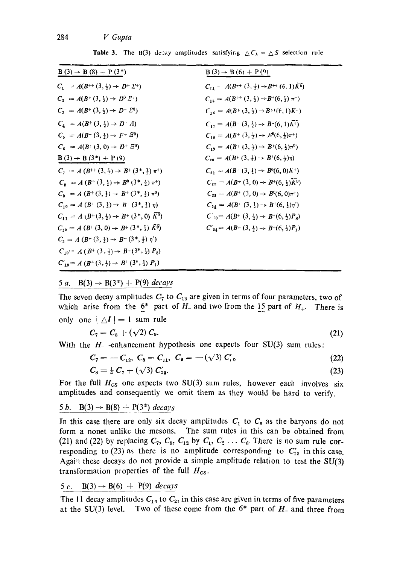| $B(3) \rightarrow B(8) + P(3^*)$                                                    | $B(3) \rightarrow B(6) + P(9)$                                                  |
|-------------------------------------------------------------------------------------|---------------------------------------------------------------------------------|
| $C_1 = A(B^{++} (3, \frac{1}{2}) \rightarrow D^{+} \Sigma^{+})$                     | $C_{14} = A(B^{++} (3, \frac{1}{2}) \rightarrow B^{++} (6, 1) \overline{K^0})$  |
| $C_2 = A(B^+(3, \frac{1}{2}) \rightarrow D^0 \Sigma^+)$                             | $C_{15} = A(B^{++} (3, \frac{1}{2}) \rightarrow B^{+}(6, \frac{1}{2}) \pi^{+})$ |
| $C_3 = A(B^+(3, \frac{1}{2}) \rightarrow D^+ \Sigma^0)$                             | $C_{16} = A(B^+(3, \frac{1}{2}) \rightarrow B^{++}(6, 1)K^-)$                   |
| $C_4 = A(B^+(3, \frac{1}{2}) \rightarrow D^+ A)$                                    | $C_{17} = A(B^+(3, \frac{1}{2}) \rightarrow B^+(6, 1) \overline{\mathbf{A}^0}$  |
| $C_5 = A(B^+(3, \frac{1}{2}) \rightarrow F^+ \quad \tilde{E}^0)$                    | $C_{18} = A(B^+(3, \frac{1}{2}) \rightarrow B^0(6, \frac{1}{2})\pi^+)$          |
| $C_6 = A(B^+(3,0) \rightarrow D^+ \bar{B}^0)$                                       | $C_{19} = A(B^+(3, \frac{1}{2}) \rightarrow B^+(6, \frac{1}{2})\pi^0)$          |
| $B(3) \rightarrow B(3^*) + P(9)$                                                    | $C_{20} = A(B^+(3, \frac{1}{2}) \rightarrow B^+(6, \frac{1}{2})\eta)$           |
| $C_7 = A (B^{++} (3, 4) \rightarrow B^{+} (3, 4) \pi^{+})$                          | $C_{21} = A(B^+(3, \frac{1}{2}) \rightarrow B^0(6, 0)K^+)$                      |
| $C_{\mathbf{a}} = A (B^+(3, \frac{1}{2}) \rightarrow B^0 (3^*, \frac{1}{2}) \pi^+)$ | $C_{22} = A(B^+(3,0) \rightarrow B^+(6, \frac{1}{2})\overline{K^0})$            |
| $C_9 = A (B^+(3, \frac{1}{2}) \rightarrow B^+(3^*, \frac{1}{2}) \pi^0)$             | $C_{23} = A(B^+(3,0) \rightarrow B^0(6,0)\pi^+)$                                |
| $C_{10} = A (B^+(3, \frac{1}{2}) \rightarrow B^+(3^*, \frac{1}{2}) \eta)$           | $C_{24} = A(B^+(3, \frac{1}{2}) \rightarrow B^+(6, \frac{1}{2})\eta')$          |
| $C_{11} = A (B^+(3, \frac{1}{2}) \rightarrow B^+(3^*, 0) \bar{K}^0)$                | $C'_{10} = A(B^+(3, \frac{1}{2}) \rightarrow B^+(6, \frac{1}{2})P_8)$           |
| $C_{12} = A (B^+(3,0) \rightarrow B^+(3^*,\frac{1}{2}) \bar{K}^0)$                  | $C'_{24} = A(B^+(3, \frac{1}{2}) \rightarrow B^+(6, \frac{1}{2})P_1)$           |
| $C_3 = A (B^+(3, \frac{1}{2}) \rightarrow B^+(3^*, \frac{1}{2}) \eta')$             |                                                                                 |
| $C_{10} = A (B^+(3, \frac{1}{2}) \rightarrow B^+(3^*, \frac{1}{2}) P_8)$            |                                                                                 |
| $C'_{13} = A (B^+(3, \frac{1}{2}) \rightarrow B^+(3^*, \frac{1}{2}) P_1)$           |                                                                                 |

**Table 3.** The B(3) decay amplitudes satisfying  $\Delta C_k = \Delta S$  selection rule

#### 5 a. B(3)  $\rightarrow$  B(3<sup>\*</sup>) + P(9) *decays*

The seven decay amplitudes  $C_7$  to  $C_{13}$  are given in terms of four parameters, two of which arise from the  $6^*$  part of H<sub>-</sub> and two from the 15 part of  $H_+$ . There is only one  $|\Delta I| = 1$  sum rule

$$
C_7 = C_8 + (\sqrt{2}) C_9. \tag{21}
$$

With the  $H_$ -enhancement hypothesis one expects four SU(3) sum rules:

$$
C_7 = -C_{12}, C_8 = C_{11}, C_9 = -(\sqrt{3}) C'_{10}
$$
 (22)

$$
C_8 = \frac{1}{4} C_7 + (\sqrt{3}) C'_{13}.
$$
 (23)

For the full  $H_{\text{cs}}$  one expects two SU(3) sum rules, however each involves six amplitudes and consequently we omit them as they would be hard to verify.

### 5 b. B(3)  $\rightarrow$  B(8) + P(3<sup>\*</sup>) *decays*

In this case there are only six decay amplitudes  $C_1$  to  $C_6$  as the baryons do not form a nonet unlike the mesons. The sum rules in this can be obtained from (21) and (22) by replacing  $C_7$ ,  $C_8$ ,  $C_{12}$  by  $C_1$ ,  $C_2$  ...  $C_6$ . There is no sum rule corresponding to (23) as there is no amplitude corresponding to  $C'_{13}$  in this case. Again these decays do not provide a simple amplitude relation to test the SU(3) transformation properties of the full *Hcs.* 

# 5 c. B(3)  $\rightarrow$  B(6) + P(9) *decays*

The 11 decay amplitudes  $C_{14}$  to  $C_{21}$  in this case are given in terms of five parameters at the SU(3) level. Two of these come from the  $6*$  part of  $H<sub>-</sub>$  and three from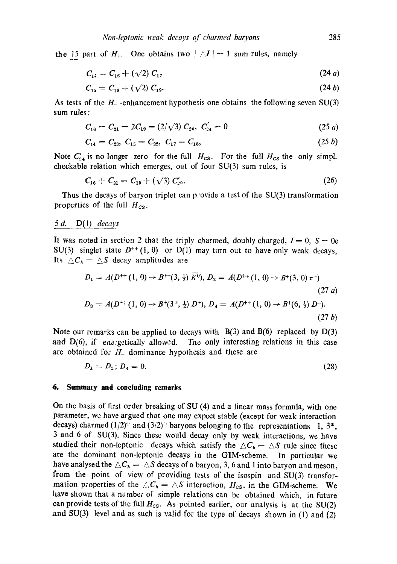the 15 part of  $H_+$ . One obtains two  $|\Delta I|=1$  sum rules, namely

$$
C_{14} = C_{16} + (\sqrt{2}) C_{17} \tag{24 a}
$$

$$
C_{15} = C_{18} + (\sqrt{2}) C_{19}.
$$
 (24 b)

As tests of the  $H$ -enhancement hypothesis one obtains the following seven  $SU(3)$ sum rules **:** 

$$
C_{16} = C_{21} = 2C_{19} = (2/\sqrt{3}) C_{20}, C'_{24} = 0 \qquad (25 a)
$$

$$
C_{14} = C_{23}, C_{15} = C_{22}, C_{17} = C_{18}, \qquad (25\ b)
$$

Note  $C'_{24}$  is no longer zero for the full  $H_{cs}$ . For the full  $H_{cs}$  the only simpl. checkable relation which emerges, out of four SU(3) sum rules, is

$$
C_{16} + C_{21} = C_{19} + (\sqrt{3}) C'_{20}.
$$
 (26)

Thus the decays of baryon triplet can p'ovide a test of the SU(3) transformation properties of the full  $H_{cs}$ .

#### 5 d. D(I) *decays*

It was noted in section 2 that the triply charmed, doubly charged,  $I = 0$ ,  $S = 0e$ SU(3) singlet state  $D^{++}(1, 0)$  or D(1) may turn out to have only weak decays, Its  $\triangle C_{h} = \triangle S$  decay amplitudes are

$$
D_1 = A(D^{++} (1, 0) \rightarrow B^{++} (3, \frac{1}{2}) \overline{K}^0), D_2 = A(D^{++} (1, 0) \rightarrow B^{+} (3, 0) \pi^+)
$$
  
(27 a)  

$$
D_3 = A(D^{++} (1, 0) \rightarrow B^{+} (3^*, \frac{1}{2}) D^+), D_4 = A(D^{++} (1, 0) \rightarrow B^{+} (6, \frac{1}{2}) D^+).
$$
  
(27 b)

Note our remarks can be applied to decays with  $B(3)$  and  $B(6)$  replaced by  $D(3)$ and  $D(6)$ , if ene getically allowed. The only interesting relations in this case are obtained for  $H<sub>-</sub>$  dominance hypothesis and these are

$$
D_1 = D_2; D_4 = 0. \t\t(28)
$$

#### **6. Summmy and concluding remarks**

On the basis of first order breaking of SU (4) and a linear mass formula, with one parameter, we have argued that one may expect stable (except for weak interaction decays) charmed  $(1/2)^+$  and  $(3/2)^+$  baryons belonging to the representations 1, 3\*, 3 and 6 of SU(3). Since these would decay only by weak interactions, we have studied their non-leptonic decays which satisfy the  $\Delta C_h = \Delta S$  rule since these are the dominant non-leptonic decays in the GIM-scheme. In particular we have analysed the  $\triangle C_{h} = \triangle S$  decays of a baryon, 3, 6 and 1 into baryon and meson, from the point of view of providing tests of the isospin and SU(3) transformation properties of the  $\triangle C_k = \triangle S$  interaction,  $H_{cs}$ , in the GIM-scheme. We have shown that a number of simple relations can be obtained which, in future can provide tests of the full  $H_{cs}$ . As pointed earlier, our analysis is at the SU(2) and SU(3) level and as such is valid for the type of decays shown in (1) and (2)